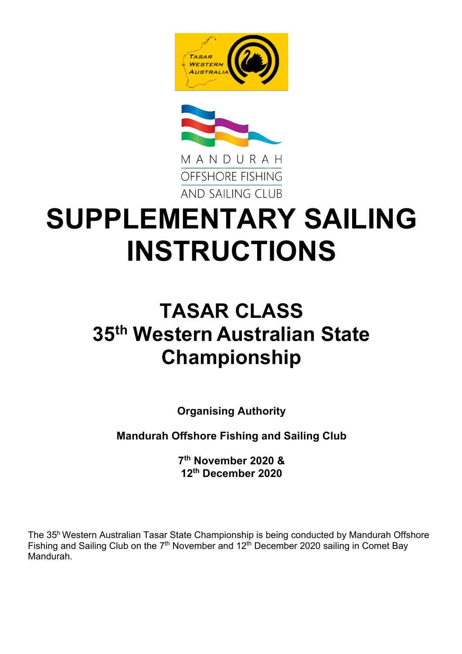



# **SUPPLEMENTARY SAILING INSTRUCTIONS**

# **TASAR CLASS 35th Western Australian State Championship**

**Organising Authority**

**Mandurah Offshore Fishing and Sailing Club**

**7th November 2020 & 12th December 2020**

The 35h Western Australian Tasar State Championship is being conducted by Mandurah Offshore Fishing and Sailing Club on the 7<sup>th</sup> November and 12<sup>th</sup> December 2020 sailing in Comet Bay Mandurah.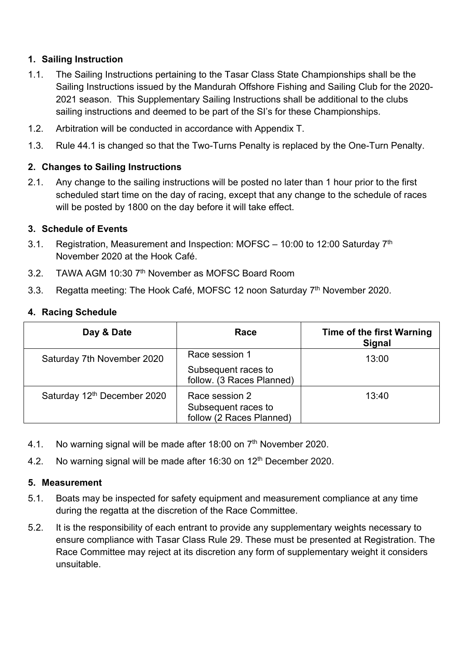#### **1. Sailing Instruction**

- 1.1. The Sailing Instructions pertaining to the Tasar Class State Championships shall be the Sailing Instructions issued by the Mandurah Offshore Fishing and Sailing Club for the 2020- 2021 season. This Supplementary Sailing Instructions shall be additional to the clubs sailing instructions and deemed to be part of the SI's for these Championships.
- 1.2. Arbitration will be conducted in accordance with Appendix T.
- 1.3. Rule 44.1 is changed so that the Two-Turns Penalty is replaced by the One-Turn Penalty.

#### **2. Changes to Sailing Instructions**

2.1. Any change to the sailing instructions will be posted no later than 1 hour prior to the first scheduled start time on the day of racing, except that any change to the schedule of races will be posted by 1800 on the day before it will take effect.

#### **3. Schedule of Events**

- 3.1. Registration, Measurement and Inspection: MOFSC 10:00 to 12:00 Saturday  $7<sup>th</sup>$ November 2020 at the Hook Café.
- 3.2. TAWA AGM 10:30 7<sup>th</sup> November as MOFSC Board Room
- 3.3. Regatta meeting: The Hook Café, MOFSC 12 noon Saturdav 7<sup>th</sup> November 2020.

#### **4. Racing Schedule**

| Day & Date                              | Race                                                               | <b>Time of the first Warning</b><br><b>Signal</b> |
|-----------------------------------------|--------------------------------------------------------------------|---------------------------------------------------|
| Saturday 7th November 2020              | Race session 1<br>Subsequent races to<br>follow. (3 Races Planned) | 13:00                                             |
| Saturday 12 <sup>th</sup> December 2020 | Race session 2<br>Subsequent races to<br>follow (2 Races Planned)  | 13:40                                             |

- 4.1. No warning signal will be made after 18:00 on 7<sup>th</sup> November 2020.
- 4.2. No warning signal will be made after 16:30 on 12<sup>th</sup> December 2020.

#### **5. Measurement**

- 5.1. Boats may be inspected for safety equipment and measurement compliance at any time during the regatta at the discretion of the Race Committee.
- 5.2. It is the responsibility of each entrant to provide any supplementary weights necessary to ensure compliance with Tasar Class Rule 29. These must be presented at Registration. The Race Committee may reject at its discretion any form of supplementary weight it considers unsuitable.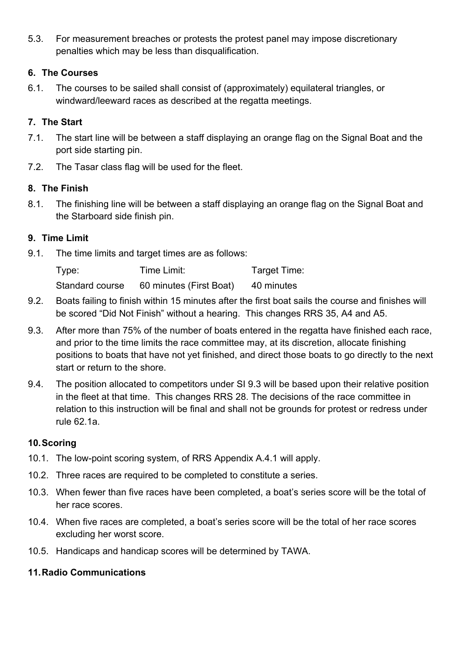5.3. For measurement breaches or protests the protest panel may impose discretionary penalties which may be less than disqualification.

# **6. The Courses**

6.1. The courses to be sailed shall consist of (approximately) equilateral triangles, or windward/leeward races as described at the regatta meetings.

# **7. The Start**

- 7.1. The start line will be between a staff displaying an orange flag on the Signal Boat and the port side starting pin.
- 7.2. The Tasar class flag will be used for the fleet.

#### **8. The Finish**

8.1. The finishing line will be between a staff displaying an orange flag on the Signal Boat and the Starboard side finish pin.

#### **9. Time Limit**

9.1. The time limits and target times are as follows:

| Type:           | Time Limit:             | Target Time: |
|-----------------|-------------------------|--------------|
| Standard course | 60 minutes (First Boat) | 40 minutes   |

- 9.2. Boats failing to finish within 15 minutes after the first boat sails the course and finishes will be scored "Did Not Finish" without a hearing. This changes RRS 35, A4 and A5.
- 9.3. After more than 75% of the number of boats entered in the regatta have finished each race, and prior to the time limits the race committee may, at its discretion, allocate finishing positions to boats that have not yet finished, and direct those boats to go directly to the next start or return to the shore.
- 9.4. The position allocated to competitors under SI 9.3 will be based upon their relative position in the fleet at that time. This changes RRS 28. The decisions of the race committee in relation to this instruction will be final and shall not be grounds for protest or redress under rule 62.1a.

# **10.Scoring**

- 10.1. The low-point scoring system, of RRS Appendix A.4.1 will apply.
- 10.2. Three races are required to be completed to constitute a series.
- 10.3. When fewer than five races have been completed, a boat's series score will be the total of her race scores.
- 10.4. When five races are completed, a boat's series score will be the total of her race scores excluding her worst score.
- 10.5. Handicaps and handicap scores will be determined by TAWA.

#### **11.Radio Communications**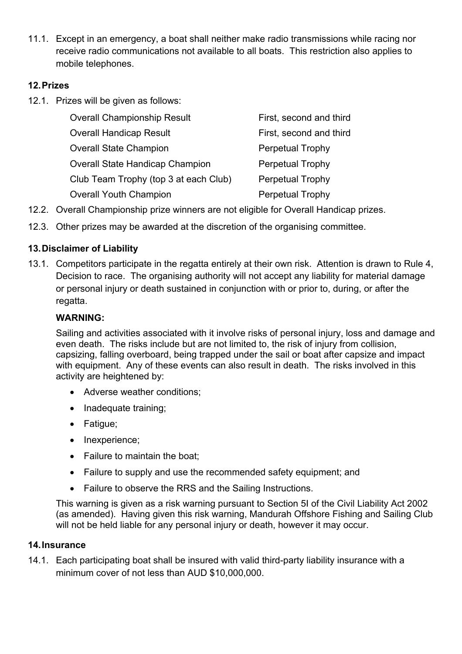11.1. Except in an emergency, a boat shall neither make radio transmissions while racing nor receive radio communications not available to all boats. This restriction also applies to mobile telephones.

#### **12.Prizes**

12.1. Prizes will be given as follows:

| <b>Overall Championship Result</b>     | First, second and third |
|----------------------------------------|-------------------------|
| <b>Overall Handicap Result</b>         | First, second and third |
| <b>Overall State Champion</b>          | <b>Perpetual Trophy</b> |
| <b>Overall State Handicap Champion</b> | <b>Perpetual Trophy</b> |
| Club Team Trophy (top 3 at each Club)  | <b>Perpetual Trophy</b> |
| <b>Overall Youth Champion</b>          | Perpetual Trophy        |

- 12.2. Overall Championship prize winners are not eligible for Overall Handicap prizes.
- 12.3. Other prizes may be awarded at the discretion of the organising committee.

#### **13.Disclaimer of Liability**

13.1. Competitors participate in the regatta entirely at their own risk. Attention is drawn to Rule 4, Decision to race. The organising authority will not accept any liability for material damage or personal injury or death sustained in conjunction with or prior to, during, or after the regatta.

#### **WARNING:**

Sailing and activities associated with it involve risks of personal injury, loss and damage and even death. The risks include but are not limited to, the risk of injury from collision, capsizing, falling overboard, being trapped under the sail or boat after capsize and impact with equipment. Any of these events can also result in death. The risks involved in this activity are heightened by:

- Adverse weather conditions;
- Inadequate training;
- Fatigue;
- Inexperience;
- Failure to maintain the boat;
- Failure to supply and use the recommended safety equipment; and
- Failure to observe the RRS and the Sailing Instructions.

This warning is given as a risk warning pursuant to Section 5I of the Civil Liability Act 2002 (as amended). Having given this risk warning, Mandurah Offshore Fishing and Sailing Club will not be held liable for any personal injury or death, however it may occur.

#### **14.Insurance**

14.1. Each participating boat shall be insured with valid third-party liability insurance with a minimum cover of not less than AUD \$10,000,000.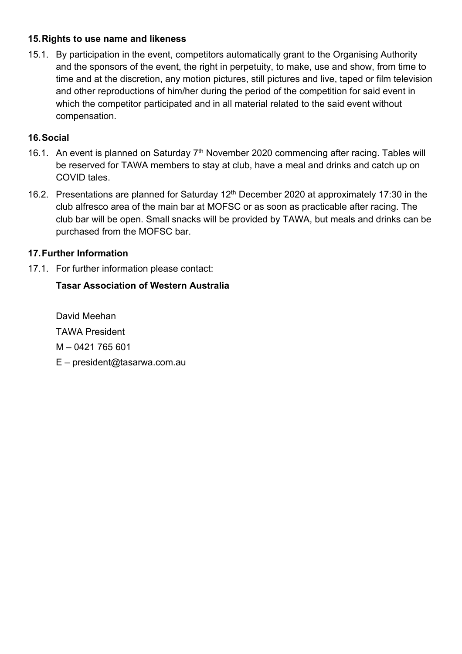#### **15.Rights to use name and likeness**

15.1. By participation in the event, competitors automatically grant to the Organising Authority and the sponsors of the event, the right in perpetuity, to make, use and show, from time to time and at the discretion, any motion pictures, still pictures and live, taped or film television and other reproductions of him/her during the period of the competition for said event in which the competitor participated and in all material related to the said event without compensation.

# **16.Social**

- 16.1. An event is planned on Saturday 7<sup>th</sup> November 2020 commencing after racing. Tables will be reserved for TAWA members to stay at club, have a meal and drinks and catch up on COVID tales.
- 16.2. Presentations are planned for Saturday 12<sup>th</sup> December 2020 at approximately 17:30 in the club alfresco area of the main bar at MOFSC or as soon as practicable after racing. The club bar will be open. Small snacks will be provided by TAWA, but meals and drinks can be purchased from the MOFSC bar.

# **17.Further Information**

17.1. For further information please contact:

# **Tasar Association of Western Australia**

David Meehan TAWA President M – 0421 765 601 E – president@tasarwa.com.au